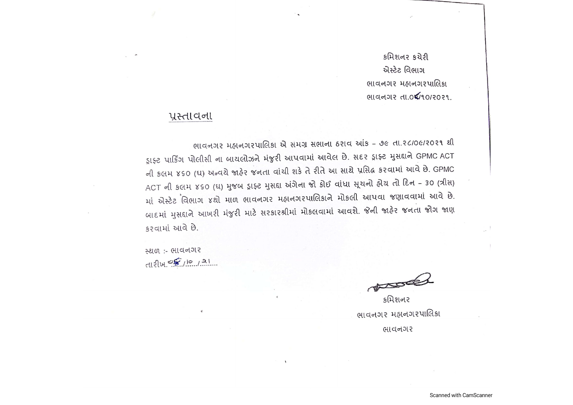કમિશનર કચેરી એસ્ટેટ વિભાગ ભાવનગર મહાનગરપાલિકા લાવનગર તા.04/10/2021.

# प्रस्तावना

ભાવનગર મહાનગરપાલિકા એ સમગ્ર સભાના ઠરાવ આંક - ૭૯ તા.૨૮/૦૯/૨૦૨૧ થી ડ્રાફ્ટ પાર્કિંગ પોલીસી ના બાયલોઝને મંજુરી આપવામાં આવેલ છે. સદર ડ્રાફ્ટ મુસદ્દાને GPMC ACT ની કલમ ૪૬૦ (ઘ) અન્વયે જાફેર જનતા વાંચી શકે તે રીતે આ સાથે પ્રસિદ્ધ કરવામાં આવે છે. GPMC ACT ની કલમ ४૬૦ (ઘ) મુજબ ડ્રાફ્ટ મુસદ્દા અંગેના જો કોઈ વાંધા સૂચનો હોચ તો દિન - 30 (ત્રીસ) માં એસ્ટેટ વિભાગ ૪થો માળ ભાવનગર મહાનગરપાલિકાને મોકલી આપવા જણાવવામાં આવે છે. બાદમાં મુસદ્દાને આખરી મંજુરી માટે સરકારશ્રીમાં મોકલવામાં આવશે. જેની જાહેર જનતા જોગ જાણ કરવામાં આવે છે.

स्थળ :- ભાવનગર 112/4 05/10/21

કમિશનર ભાવનગર મહાનગરપાલિકા ભાવનગર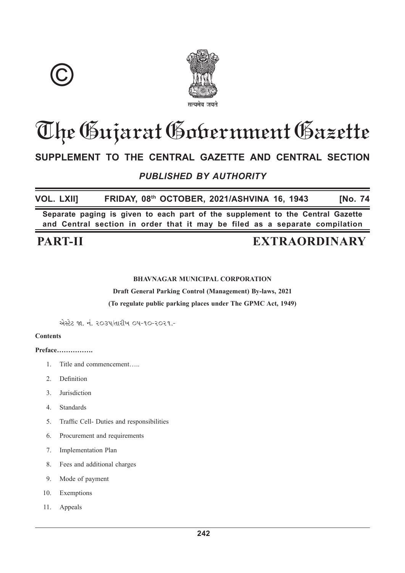



# The Gujarat Gobernment Gazette

# SUPPLEMENT TO THE CENTRAL GAZETTE AND CENTRAL SECTION

# **PUBLISHED BY AUTHORITY**

**VOL. LXIII** FRIDAY, 08th OCTOBER, 2021/ASHVINA 16, 1943 **INo. 74** 

Separate paging is given to each part of the supplement to the Central Gazette and Central section in order that it may be filed as a separate compilation

# **PART-II**

# **EXTRAORDINARY**

## **BHAVNAGAR MUNICIPAL CORPORATION**

**Draft General Parking Control (Management) By-laws, 2021** 

(To regulate public parking places under The GPMC Act, 1949)

એસ્ટેટ જા. નં. ૨૦૩૫/તારીખ ૦૫-૧૦-૨૦૨૧.-

## **Contents**

Preface................

- $\mathbf{1}$ . Title and commencement.....
- $2^{\circ}$ Definition
- Jurisdiction  $3<sub>1</sub>$
- $\overline{4}$ Standards
- Traffic Cell- Duties and responsibilities 5.
- 6 Procurement and requirements
- Implementation Plan 7.
- 8. Fees and additional charges
- 9. Mode of payment
- 10. Exemptions
- Appeals  $11$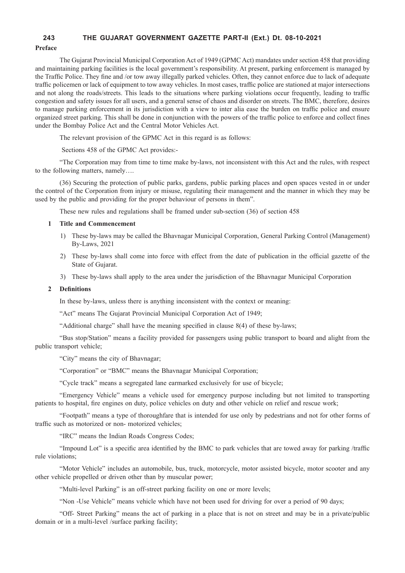#### **243 THE GUJARAT GOVERNMENT GAZETTE PART-II (Ext.) Dt. 08-10-2021**

#### **Preface**

The Gujarat Provincial Municipal Corporation Act of 1949 (GPMC Act) mandates under section 458 that providing and maintaining parking facilities is the local government's responsibility. At present, parking enforcement is managed by the Traffic Police. They fine and /or tow away illegally parked vehicles. Often, they cannot enforce due to lack of adequate traffic policemen or lack of equipment to tow away vehicles. In most cases, traffic police are stationed at major intersections and not along the roads/streets. This leads to the situations where parking violations occur frequently, leading to traffic congestion and safety issues for all users, and a general sense of chaos and disorder on streets. The BMC, therefore, desires to manage parking enforcement in its jurisdiction with a view to inter alia ease the burden on traffic police and ensure organized street parking. This shall be done in conjunction with the powers of the traffic police to enforce and collect fines under the Bombay Police Act and the Central Motor Vehicles Act.

The relevant provision of the GPMC Act in this regard is as follows:

Sections 458 of the GPMC Act provides:-

"The Corporation may from time to time make by-laws, not inconsistent with this Act and the rules, with respect to the following matters, namely….

(36) Securing the protection of public parks, gardens, public parking places and open spaces vested in or under the control of the Corporation from injury or misuse, regulating their management and the manner in which they may be used by the public and providing for the proper behaviour of persons in them".

These new rules and regulations shall be framed under sub-section (36) of section 458

#### **1 Title and Commencement**

- 1) These by-laws may be called the Bhavnagar Municipal Corporation, General Parking Control (Management) By-Laws, 2021
- 2) These by-laws shall come into force with effect from the date of publication in the official gazette of the State of Gujarat.
- 3) These by-laws shall apply to the area under the jurisdiction of the Bhavnagar Municipal Corporation

#### 2 **Definitions**

In these by-laws, unless there is anything inconsistent with the context or meaning:

"Act" means The Gujarat Provincial Municipal Corporation Act of 1949;

"Additional charge" shall have the meaning specified in clause 8(4) of these by-laws;

"Bus stop/Station" means a facility provided for passengers using public transport to board and alight from the public transport vehicle;

"City" means the city of Bhavnagar;

"Corporation" or "BMC" means the Bhavnagar Municipal Corporation;

"Cycle track" means a segregated lane earmarked exclusively for use of bicycle;

"Emergency Vehicle" means a vehicle used for emergency purpose including but not limited to transporting patients to hospital, fire engines on duty, police vehicles on duty and other vehicle on relief and rescue work;

"Footpath" means a type of thoroughfare that is intended for use only by pedestrians and not for other forms of traffic such as motorized or non- motorized vehicles;

"IRC" means the Indian Roads Congress Codes;

"Impound Lot" is a specific area identified by the BMC to park vehicles that are towed away for parking /traffic rule violations;

"Motor Vehicle" includes an automobile, bus, truck, motorcycle, motor assisted bicycle, motor scooter and any other vehicle propelled or driven other than by muscular power;

"Multi-level Parking" is an off-street parking facility on one or more levels;

"Non -Use Vehicle" means vehicle which have not been used for driving for over a period of 90 days;

"Off- Street Parking" means the act of parking in a place that is not on street and may be in a private/public domain or in a multi-level /surface parking facility;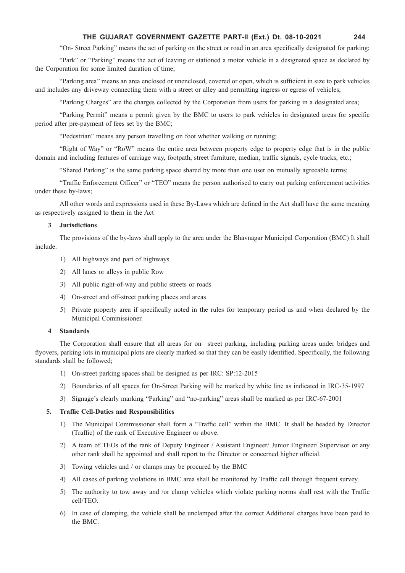#### **THE GUJARAT GOVERNMENT GAZETTE PART-II (Ext.) Dt. 08-10-2021 244**

"On- Street Parking" means the act of parking on the street or road in an area specifically designated for parking;

"Park" or "Parking" means the act of leaving or stationed a motor vehicle in a designated space as declared by the Corporation for some limited duration of time;

"Parking area" means an area enclosed or unenclosed, covered or open, which is sufficient in size to park vehicles and includes any driveway connecting them with a street or alley and permitting ingress or egress of vehicles;

"Parking Charges" are the charges collected by the Corporation from users for parking in a designated area;

"Parking Permit" means a permit given by the BMC to users to park vehicles in designated areas for specific period after pre-payment of fees set by the BMC;

"Pedestrian" means any person travelling on foot whether walking or running;

"Right of Way" or "RoW" means the entire area between property edge to property edge that is in the public domain and including features of carriage way, footpath, street furniture, median, traffic signals, cycle tracks, etc.;

"Shared Parking" is the same parking space shared by more than one user on mutually agreeable terms;

"Traffic Enforcement Officer" or "TEO" means the person authorised to carry out parking enforcement activities under these by-laws:

All other words and expressions used in these By-Laws which are defined in the Act shall have the same meaning as respectively assigned to them in the Act

#### **3 Jurisdictions**

The provisions of the by-laws shall apply to the area under the Bhavnagar Municipal Corporation (BMC) It shall include:

- 1) All highways and part of highways
- 2) All lanes or alleys in public Row
- 3) All public right-of-way and public streets or roads
- 4) On-street and off-street parking places and areas
- 5) Private property area if specifically noted in the rules for temporary period as and when declared by the Municipal Commissioner.

#### **4 Standards**

The Corporation shall ensure that all areas for on– street parking, including parking areas under bridges and flyovers, parking lots in municipal plots are clearly marked so that they can be easily identified. Specifically, the following standards shall be followed;

- 1) On-street parking spaces shall be designed as per IRC: SP:12-2015
- 2) Boundaries of all spaces for On-Street Parking will be marked by white line as indicated in IRC-35-1997
- 3) Signage's clearly marking "Parking" and "no-parking" areas shall be marked as per IRC-67-2001

#### **5. Traffic Cell-Duties and Responsibilities**

- 1) The Municipal Commissioner shall form a "Traffic cell" within the BMC. It shall be headed by Director (Traffic) of the rank of Executive Engineer or above.
- 2) A team of TEOs of the rank of Deputy Engineer / Assistant Engineer Junior Engineer Supervisor or any other rank shall be appointed and shall report to the Director or concerned higher official.
- 3) Towing vehicles and / or clamps may be procured by the BMC
- 4) All cases of parking violations in BMC area shall be monitored by Traffic cell through frequent survey.
- 5) The authority to tow away and /or clamp vehicles which violate parking norms shall rest with the Traffic cell/TEO.
- 6) In case of clamping, the vehicle shall be unclamped after the correct Additional charges have been paid to the BMC.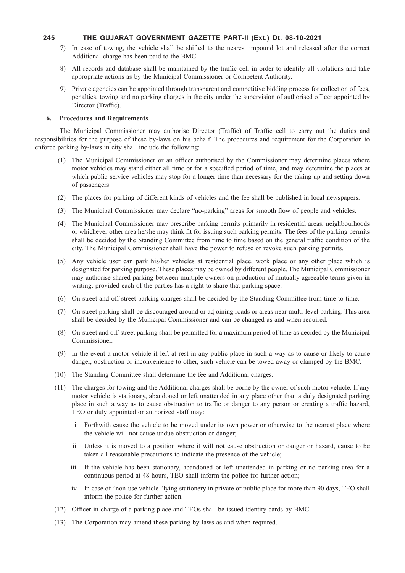#### **245 THE GUJARAT GOVERNMENT GAZETTE PART-II (Ext.) Dt. 08-10-2021**

- 7) In case of towing, the vehicle shall be shifted to the nearest impound lot and released after the correct Additional charge has been paid to the BMC.
- 8) All records and database shall be maintained by the traffic cell in order to identify all violations and take appropriate actions as by the Municipal Commissioner or Competent Authority.
- 9) Private agencies can be appointed through transparent and competitive bidding process for collection of fees, penalties, towing and no parking charges in the city under the supervision of authorised officer appointed by Director (Traffic).

#### **6. Procedures and Requirements**

The Municipal Commissioner may authorise Director (Traffic) of Traffic cell to carry out the duties and responsibilities for the purpose of these by-laws on his behalf. The procedures and requirement for the Corporation to enforce parking by-laws in city shall include the following:

- (1) The Municipal Commissioner or an officer authorised by the Commissioner may determine places where motor vehicles may stand either all time or for a specified period of time, and may determine the places at which public service vehicles may stop for a longer time than necessary for the taking up and setting down of passengers.
- (2) The places for parking of different kinds of vehicles and the fee shall be published in local newspapers.
- (3) The Municipal Commissioner may declare "no-parking" areas for smooth flow of people and vehicles.
- (4) The Municipal Commissioner may prescribe parking permits primarily in residential areas, neighbourhoods or whichever other area he/she may think fit for issuing such parking permits. The fees of the parking permits shall be decided by the Standing Committee from time to time based on the general traffic condition of the city. The Municipal Commissioner shall have the power to refuse or revoke such parking permits.
- (5) Any vehicle user can park his/her vehicles at residential place, work place or any other place which is designated for parking purpose. These places may be owned by different people. The Municipal Commissioner may authorise shared parking between multiple owners on production of mutually agreeable terms given in writing, provided each of the parties has a right to share that parking space.
- (6) On-street and off-street parking charges shall be decided by the Standing Committee from time to time.
- (7) On-street parking shall be discouraged around or adjoining roads or areas near multi-level parking. This area shall be decided by the Municipal Commissioner and can be changed as and when required.
- (8) On-street and off-street parking shall be permitted for a maximum period of time as decided by the Municipal Commissioner.
- (9) In the event a motor vehicle if left at rest in any public place in such a way as to cause or likely to cause danger, obstruction or inconvenience to other, such vehicle can be towed away or clamped by the BMC.
- (10) The Standing Committee shall determine the fee and Additional charges.
- (11) The charges for towing and the Additional charges shall be borne by the owner of such motor vehicle. If any motor vehicle is stationary, abandoned or left unattended in any place other than a duly designated parking place in such a way as to cause obstruction to traffic or danger to any person or creating a traffic hazard, TEO or duly appointed or authorized staff may:
	- i. Forthwith cause the vehicle to be moved under its own power or otherwise to the nearest place where the vehicle will not cause undue obstruction or danger;
	- ii. Unless it is moved to a position where it will not cause obstruction or danger or hazard, cause to be taken all reasonable precautions to indicate the presence of the vehicle;
	- iii. If the vehicle has been stationary, abandoned or left unattended in parking or no parking area for a continuous period at 48 hours, TEO shall inform the police for further action;
	- iv. In case of "non-use vehicle "lying stationery in private or public place for more than 90 days, TEO shall inform the police for further action.
- (12) Officer in-charge of a parking place and TEOs shall be issued identity cards by BMC.
- (13) The Corporation may amend these parking by-laws as and when required.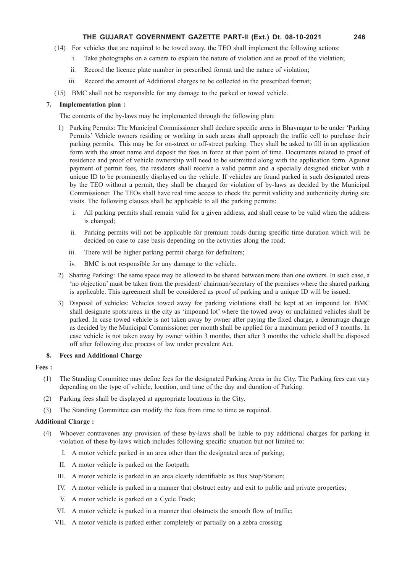#### **THE GUJARAT GOVERNMENT GAZETTE PART-II (Ext.) Dt. 08-10-2021 246**

- (14) For vehicles that are required to be towed away, the TEO shall implement the following actions:
	- i. Take photographs on a camera to explain the nature of violation and as proof of the violation;
	- ii. Record the licence plate number in prescribed format and the nature of violation;
	- iii. Record the amount of Additional charges to be collected in the prescribed format;
- (15) BMC shall not be responsible for any damage to the parked or towed vehicle.

#### **7. Implementation plan :**

The contents of the by-laws may be implemented through the following plan:

- 1) Parking Permits: The Municipal Commissioner shall declare specific areas in Bhavnagar to be under 'Parking Permits' Vehicle owners residing or working in such areas shall approach the traffic cell to purchase their parking permits. This may be for on-street or off-street parking. They shall be asked to fill in an application form with the street name and deposit the fees in force at that point of time. Documents related to proof of residence and proof of vehicle ownership will need to be submitted along with the application form. Against payment of permit fees, the residents shall receive a valid permit and a specially designed sticker with a unique ID to be prominently displayed on the vehicle. If vehicles are found parked in such designated areas by the TEO without a permit, they shall be charged for violation of by-laws as decided by the Municipal Commissioner. The TEOs shall have real time access to check the permit validity and authenticity during site visits. The following clauses shall be applicable to all the parking permits:
	- i. All parking permits shall remain valid for a given address, and shall cease to be valid when the address is changed;
	- ii. Parking permits will not be applicable for premium roads during specific time duration which will be decided on case to case basis depending on the activities along the road;
	- iii. There will be higher parking permit charge for defaulters;
	- iv. BMC is not responsible for any damage to the vehicle.
- 2) Sharing Parking: The same space may be allowed to be shared between more than one owners. In such case, a 'no objection' must be taken from the president/ chairman/secretary of the premises where the shared parking is applicable. This agreement shall be considered as proof of parking and a unique ID will be issued.
- 3) Disposal of vehicles: Vehicles towed away for parking violations shall be kept at an impound lot. BMC shall designate spots/areas in the city as 'impound lot' where the towed away or unclaimed vehicles shall be parked. In case towed vehicle is not taken away by owner after paying the fixed charge, a demurrage charge as decided by the Municipal Commissioner per month shall be applied for a maximum period of 3 months. In case vehicle is not taken away by owner within 3 months, then after 3 months the vehicle shall be disposed off after following due process of law under prevalent Act.

#### **8. Fees and Additional Charge**

#### **Fees :**

- (1) The Standing Committee may define fees for the designated Parking Areas in the City. The Parking fees can vary depending on the type of vehicle, location, and time of the day and duration of Parking.
- (2) Parking fees shall be displayed at appropriate locations in the City.
- (3) The Standing Committee can modify the fees from time to time as required.

#### **Additional Charge :**

- (4) Whoever contravenes any provision of these by-laws shall be liable to pay additional charges for parking in violation of these by-laws which includes following specific situation but not limited to:
	- I. A motor vehicle parked in an area other than the designated area of parking;
	- II. A motor vehicle is parked on the footpath;
	- III. A motor vehicle is parked in an area clearly identifiable as Bus Stop/Station;
	- IV. A motor vehicle is parked in a manner that obstruct entry and exit to public and private properties;
	- V. A motor vehicle is parked on a Cycle Track;
	- VI. A motor vehicle is parked in a manner that obstructs the smooth flow of traffic;
	- VII. A motor vehicle is parked either completely or partially on a zebra crossing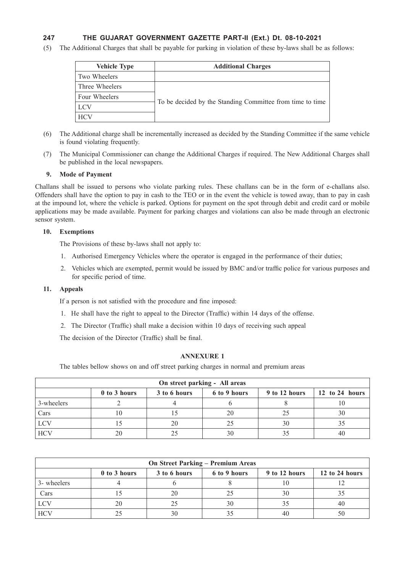## **247 THE GUJARAT GOVERNMENT GAZETTE PART-II (Ext.) Dt. 08-10-2021**

(5) The Additional Charges that shall be payable for parking in violation of these by-laws shall be as follows:

| <b>Vehicle Type</b> | <b>Additional Charges</b>                                 |
|---------------------|-----------------------------------------------------------|
| Two Wheelers        |                                                           |
| Three Wheelers      |                                                           |
| Four Wheelers       |                                                           |
| <b>LCV</b>          | To be decided by the Standing Committee from time to time |
| <b>HCV</b>          |                                                           |

- (6) The Additional charge shall be incrementally increased as decided by the Standing Committee if the same vehicle is found violating frequently.
- (7) The Municipal Commissioner can change the Additional Charges if required. The New Additional Charges shall be published in the local newspapers.

#### **9. Mode of Payment**

Challans shall be issued to persons who violate parking rules. These challans can be in the form of e-challans also. Offenders shall have the option to pay in cash to the TEO or in the event the vehicle is towed away, than to pay in cash at the impound lot, where the vehicle is parked. Options for payment on the spot through debit and credit card or mobile applications may be made available. Payment for parking charges and violations can also be made through an electronic sensor system.

#### **10. Exemptions**

The Provisions of these by-laws shall not apply to:

- 1. Authorised Emergency Vehicles where the operator is engaged in the performance of their duties;
- 2. Vehicles which are exempted, permit would be issued by BMC and/or traffic police for various purposes and for specific period of time.

#### **11. Appeals**

If a person is not satisfied with the procedure and fine imposed:

- 1. He shall have the right to appeal to the Director (Traffic) within 14 days of the offense.
- 2. The Director (Traffic) shall make a decision within 10 days of receiving such appeal

The decision of the Director (Traffic) shall be final.

#### **ANNEXURE 1**

The tables bellow shows on and off street parking charges in normal and premium areas

| On street parking - All areas                                                   |    |    |    |    |    |  |  |  |
|---------------------------------------------------------------------------------|----|----|----|----|----|--|--|--|
| 9 to 12 hours<br>12 to 24 hours<br>0 to 3 hours<br>3 to 6 hours<br>6 to 9 hours |    |    |    |    |    |  |  |  |
| 3-wheelers                                                                      |    |    |    |    |    |  |  |  |
| Cars                                                                            |    |    | 20 |    | 30 |  |  |  |
| LCV                                                                             |    | 20 |    | 30 |    |  |  |  |
| <b>HCV</b>                                                                      | 20 |    |    |    | 40 |  |  |  |

| <b>On Street Parking – Premium Areas</b>                                        |    |    |  |    |    |  |  |
|---------------------------------------------------------------------------------|----|----|--|----|----|--|--|
| 12 to 24 hours<br>9 to 12 hours<br>0 to 3 hours<br>6 to 9 hours<br>3 to 6 hours |    |    |  |    |    |  |  |
| 3- wheelers                                                                     |    |    |  |    |    |  |  |
| Cars                                                                            |    | 20 |  | 30 |    |  |  |
| LCV                                                                             | 20 |    |  |    | 40 |  |  |
| <b>HCV</b>                                                                      |    |    |  | 40 | 50 |  |  |